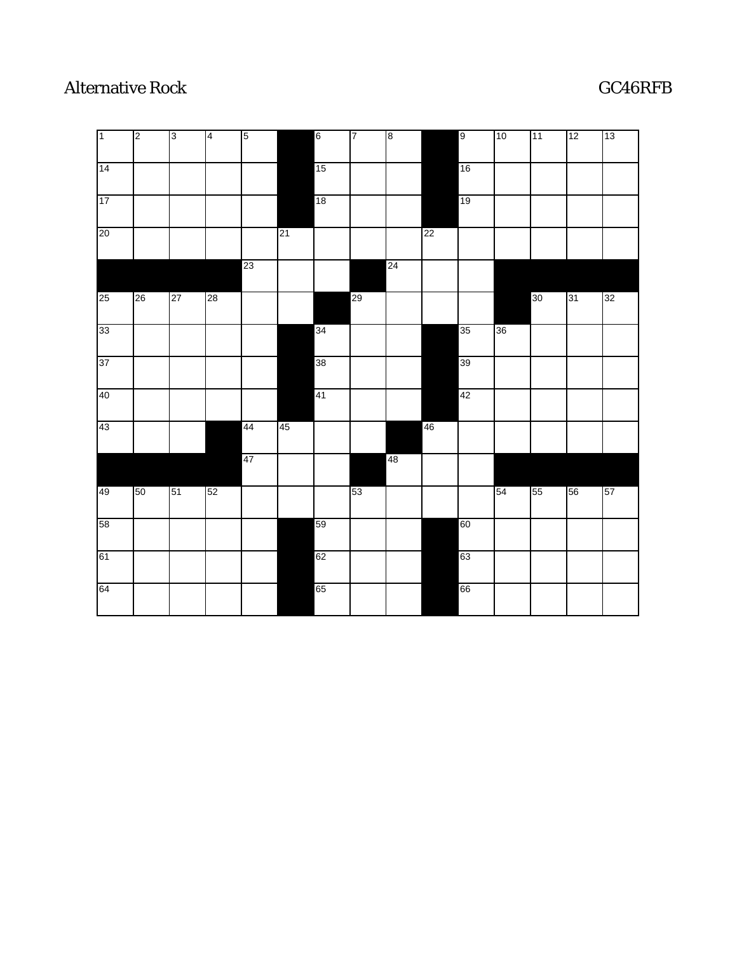## Alternative Rock GC46RFB

| $\overline{1}$ | $\sqrt{2}$ | $\sqrt{3}$ | $\vert 4$ | $\overline{5}$ |    | $6\overline{6}$ | $\overline{7}$ | $\overline{\mathbf{8}}$ |    | 9  | $ 10\rangle$ | 11              | 12 | 13 |
|----------------|------------|------------|-----------|----------------|----|-----------------|----------------|-------------------------|----|----|--------------|-----------------|----|----|
| 14             |            |            |           |                |    | 15              |                |                         |    | 16 |              |                 |    |    |
| 17             |            |            |           |                |    | 18              |                |                         |    | 19 |              |                 |    |    |
| 20             |            |            |           |                | 21 |                 |                |                         | 22 |    |              |                 |    |    |
|                |            |            |           | 23             |    |                 |                | 24                      |    |    |              |                 |    |    |
| 25             | 26         | 27         | 28        |                |    |                 | 29             |                         |    |    |              | 30 <sub>o</sub> | 31 | 32 |
| 33             |            |            |           |                |    | 34              |                |                         |    | 35 | 36           |                 |    |    |
| 37             |            |            |           |                |    | 38              |                |                         |    | 39 |              |                 |    |    |
| 40             |            |            |           |                |    | 41              |                |                         |    | 42 |              |                 |    |    |
| 43             |            |            |           | 44             | 45 |                 |                |                         | 46 |    |              |                 |    |    |
|                |            |            |           | 47             |    |                 |                | 48                      |    |    |              |                 |    |    |
| 49             | 50         | 51         | 52        |                |    |                 | 53             |                         |    |    | 54           | 55              | 56 | 57 |
| 58             |            |            |           |                |    | 59              |                |                         |    | 60 |              |                 |    |    |
| 61             |            |            |           |                |    | 62              |                |                         |    | 63 |              |                 |    |    |
| 64             |            |            |           |                |    | 65              |                |                         |    | 66 |              |                 |    |    |